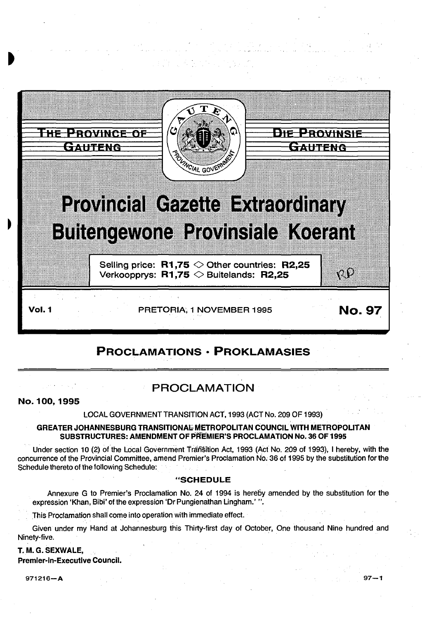

# PROCLAMATIONS· PROKLAMASIES

# PROCLAMATION

No. 100, 1995

LOCAL GOVERNMENT TRANSITION ACT, 1993 (ACT No. 209 OF 1993)

#### GREATER JOHANNESBURG TRANSITIONAl: METROPOLITAN COUNCIL WITH METROPOLITAN SUBSTRUCTURES: AMENDMENT OF PREMIER'S PROCLAMATION No. 36 OF 1995

Under section 10 (2) of the Local Government Tran§tion Act, 1993 (Act No. 209 of 1993), I hereby, with the concurrence of the Provincial Committee, amend Premier's Proclamation No. 36 of 1995 by the substitution for the Schedule thereto of the following Schedule:

## "SCHEDULE

Annexure G to Premier's Proclamation No. 24 of 1994 is hereby amended by the substitution for the expression 'Khan, Bibi' of the expression 'Dr Pungienathan Lingham.' ".

This Proclamation shall come into operation with immediate effect. ' .

Given under my Hand at Johannesburg this Thirty-first day of October, One thousand Nine hundred and Ninety-five.

## T. M.G. SEXWALE, Premier-in-Executive Council.

971216-A 97-1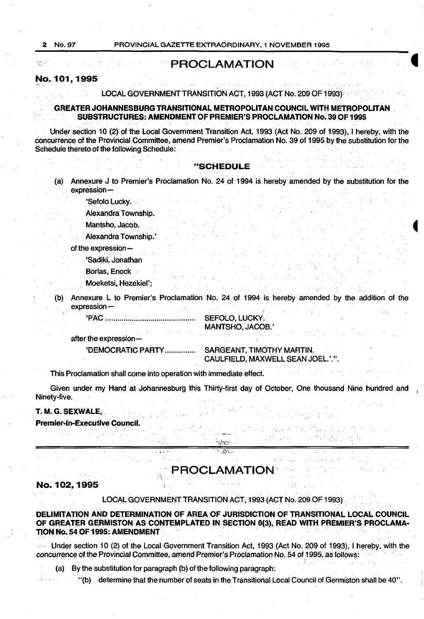Pys (100)

## **PROCLAMATION**

#### **No.101, 1995**

LOCAL GOVERNMENT TRANSITION ACT, 1993 (ACT No. 209 OF 1993)

#### **GREATER JOHANNESBURG TRANSITIONAL METROPOLITAN COUNCIL WITH METROPOLITAN SUBSTRUCTURES: AMENDMENT OF PREMIER'S PROCLAMATION No. 39 OF 1995**

Under section 10 (2) of the Local Government Transition Act, 1993 (Act No. 209 of 1993), I hereby, with the concurrence of the Provincial Committee, amend Premier's Proclamation No. 39 of 1995 by the substitution for the Schedule thereto of the following Schedule:

#### **"SCHEDULE**

(a) Annexure J to Premier's Proclamation No. 24 of 1994 is hereby amendedby the substitution for the expression-

'Sefolo Lucky.

Alexandra Township.

Mantsho, Jacob.

Alexandra Township.'

of the expression-

'Sadiki, Jonathan

Borlas, Enock

. Moeketsi, Hezekiel';

(b) Annexure L to Premier's Proclamation No. 24 of 1994 is hereby amended by the addition of the expression-

'PAC............................................ SEFOLO, LUCKY.

MANTSHO, JACOB.'

after the expression-

'DEMOCRATIC PARTY............... SARGEANT, TIMOTHY MARTIN. CAULFIELD, MAXWELL SEAN JOEL."."

This Proclamation shall come into operation with immediate effect.

Given under my Hand at Johannesburg this Thirty-first· day of October, One thousand Nine hundred and <sup>1</sup> Ninety-five.

> .<br>hittori  $1.0\%$

#### **T. M.G. SEXWALE,.**

**Premier-In-Executive Council.** 

## **PROCLAMATION·**

#### **No. 102, 1995**

LOCAL GOVERNMENT TRANSITION ACT, 1993 (ACT No. 209 OF 1993)

**DELIMITATION AND DETERMINATION OF AREA OF JURISDICTION OF TRANSITIONAL LOCAL COUNCIL OF GREATER GERMISTON AS CONTEMPLATED IN SECTION** 8(3), **READ WITH PREMIER'S PROCLAMA· TION No. S4 OF 1995: AMENDMENT** .

 $\textdegree$  Under section 10 (2) of the Local Government Transition Act, 1993 (Act No. 209 of 1993), I hereby, with the concurrence of the Provincial Committee, amend Premier's Proclamation No. 54 of 1995, as follows:

(a) By the substitution for paragraph (b) of the following paragraph:

"(b) determine that the number of seats in the Transitional Local Council of Germiston shall be 40".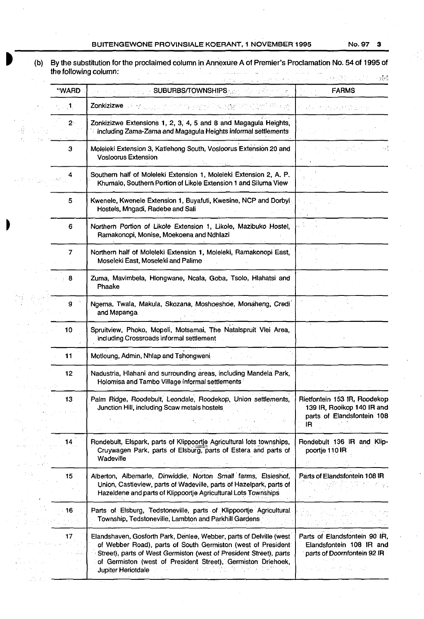### BUITENGEWONE PROVINSIALE KOERANT, 1 NOVEMBER 1995 No. 97 3

vic S

 $\begin{bmatrix} \mathbf{1}_{\mathbf{1}_{\mathbf{1}}} \\ \mathbf{1}_{\mathbf{1}_{\mathbf{1}}} \\ \mathbf{1}_{\mathbf{1}} \end{bmatrix}$ 

 $\hat{\gamma}_{\rm{th}}$  $\mathcal{A}^{\prime}$ 

(b) By the substitution for the proclaimed column in Annexure A of Premier's Proclamation No~ 54 of 1995 of

|                     |                                                                                                                                                                                                                                                                                                 | <b>FARMS</b>                                                                                         |
|---------------------|-------------------------------------------------------------------------------------------------------------------------------------------------------------------------------------------------------------------------------------------------------------------------------------------------|------------------------------------------------------------------------------------------------------|
| $\langle 1 \rangle$ | Zonkizizwe                                                                                                                                                                                                                                                                                      |                                                                                                      |
| $2^{\circ}$         | Zonkizizwe Extensions 1, 2, 3, 4, 5 and 8 and Magagula Heights,<br>including Zama-Zama and Magagula Heights informal settlements                                                                                                                                                                |                                                                                                      |
| З                   | Moleleki Extension 3, Katlehong South, Vosloorus Extension 20 and<br><b>Vosloorus Extension</b>                                                                                                                                                                                                 |                                                                                                      |
|                     | Southern half of Moleleki Extension 1, Moleleki Extension 2, A. P.<br>Khumalo, Southern Portion of Likole Extension 1 and Siluma View                                                                                                                                                           |                                                                                                      |
| 5                   | Kwenele, Kwenele Extension 1, Buyafuti, Kwesine, NCP and Dorbyl<br>Hostels, Mngadi, Radebe and Sali                                                                                                                                                                                             |                                                                                                      |
| 6                   | Northern Portion of Likole Extension 1, Likole, Mazibuko Hostel,<br>Ramakonopi, Monise, Moekoena and Ndhlazi                                                                                                                                                                                    |                                                                                                      |
| 7                   | Northern half of Moleleki Extension 1, Moleleki, Ramakonopi East,<br>Moseleki East, Moseleki and Palime                                                                                                                                                                                         |                                                                                                      |
| 8                   | Zuma, Mavimbela, Hlongwane, Ncala, Goba, Tsolo, Hlahatsi and<br>Phaake                                                                                                                                                                                                                          |                                                                                                      |
| g                   | Ngema, Twala, Makula, Skozana, Moshoeshoe, Monaheng, Credi<br>and Mapanga                                                                                                                                                                                                                       |                                                                                                      |
| 10.                 | Spruitview, Phoko, Mopeli, Motsamai, The Natalspruit Vlei Area,<br>including Crossroads informal settlement                                                                                                                                                                                     |                                                                                                      |
| 11                  | Motloung, Admin, Nhlap and Tshongweni                                                                                                                                                                                                                                                           |                                                                                                      |
| 12                  | Nadustria, Hlahani and surrounding areas, including Mandela Park,<br>Holomisa and Tambo Village informal settlements                                                                                                                                                                            |                                                                                                      |
| 13                  | Palm Ridge, Roodebult, Leondale, Roodekop, Union settlements,<br>Junction Hill, including Scaw metals hostels                                                                                                                                                                                   | <b>HIGTODIGIN</b> 100 IH, HOODEROD<br>139 IR, Rooikop 140 IR and<br>parts of Elandsfontein 108<br>IR |
| 14                  | Rondebult, Elspark, parts of Klippoortje Agricultural lots townships,<br>Cruywagen Park, parts of Elsburg, parts of Estera and parts of<br>Wadeville                                                                                                                                            | Rondebult 136 IR and Klip-<br>poortje 110 IR                                                         |
| 15                  | Alberton, Albemarle, Dinwiddie, Norton Small farms, Elsieshof,<br>Union, Castleview, parts of Wadeville, parts of Hazelpark, parts of<br>Hazeldene and parts of Klippoonje Agricultural Lots Townships                                                                                          | Parts of Elandsfontein 108 IR                                                                        |
| 16                  | Parts of Elsburg, Tedstoneville, parts of Klippoortje Agricultural<br>Township, Tedstoneville, Lambton and Parkhill Gardens                                                                                                                                                                     |                                                                                                      |
| 17                  | Elandshaven, Gosforth Park, Denlee, Webber, parts of Delville (west<br>of Webber Road), parts of South Germiston (west of President<br>Street), parts of West Germiston (west of President Street), parts<br>of Germiston (west of President Street), Germiston Driehoek,<br>Jupiter Heriotdale | Parts of Elandsfontein 90 IR,<br>Elandsfontein 108 IR and<br>parts of Doornfontein 92 IR             |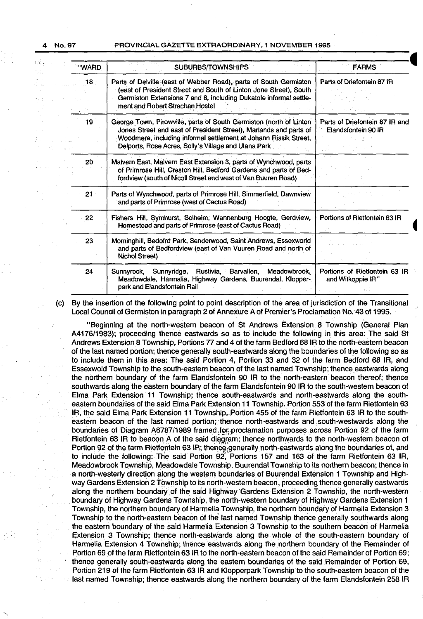īź. Sz.,

4 No.97 PROVINCIAL GAZETTE EXTRAORDINARY, 1 NOVEMBER 1995

| "WARD  | SUBURBS/TOWNSHIPS                                                                                                                                                                                                                                                   | <b>FARMS</b>                                          |
|--------|---------------------------------------------------------------------------------------------------------------------------------------------------------------------------------------------------------------------------------------------------------------------|-------------------------------------------------------|
| $18 -$ | Parts of Delville (east of Webber Road), parts of South Germiston<br>(east of President Street and South of Linton Jone Street), South<br>Germiston Extensions 7 and 8, including Dukatole informal settle-<br>ment and Robert Strachan Hostel                      | Parts of Driefontein 87 IR                            |
| 19     | George Town, Pirowville, parts of South Germiston (north of Linton<br>Jones Street and east of President Street), Marlands and parts of<br>Woodmere, including informal settlement at Johann Rissik Street,<br>Delports, Rose Acres, Solly's Village and Ulana Park | Parts of Driefontein 87 IR and<br>Elandsfontein 90 IR |
| 20     | Malvern East, Malvern East Extension 3, parts of Wynchwood, parts<br>of Primrose Hill, Creston Hill, Bedford Gardens and parts of Bed-<br>fordview (south of Nicoll Street and west of Van Buuren Road)                                                             |                                                       |
| $21 -$ | Parts of Wynchwood, parts of Primrose Hill, Simmerfield, Dawnview<br>and parts of Primrose (west of Cactus Road)                                                                                                                                                    |                                                       |
| 22     | Fishers Hill, Symhurst, Solheim, Wannenburg Hoogte, Gerdview,<br>Homestead and parts of Primrose (east of Cactus Road)                                                                                                                                              | Portions of Rietfontein 63 IR                         |
| 23     | Morninghill, Bedofrd Park, Senderwood, Saint Andrews, Essexworld<br>and parts of Bedfordview (east of Van Vuuren Road and north of<br><b>Nichol Street)</b>                                                                                                         |                                                       |
| 24     | Sunnyridge,<br>Rustivia,<br>Barvallen,<br>Meadowbrook.<br>Sunnyrock,<br>Meadowdale, Harmalia, Highway Gardens, Buurendal, Klopper-<br>park and Elandsfontein Rail                                                                                                   | Portions of Rietfontein 63 IR<br>and Witkoppie IR"    |

(c) By the insertion of the following point to point description of the area of jurisdiction of the Transitional Local Council of Germiston in paragraph 2 of Annexure A of Premier's Proclamation No. 43 of 1995. ·

"Beginning at the· north-western beacon of St Andrews Extension 8 Township (General Plan A4176/1983); proceeding thence eastwards so as to include the following in this area: The said St Andrews Extension 8 Township, Portions 77 and 4 of the farm Bedford 68 IR to the north-eastern beacon of the last named portion; thence generally south-eastwards along the boundaries of the following so as to include them in this area: The said Portion 4, Portion 33 and 32 of the farm Bedford 68 IR, and Essexwold Township to the south-eastern beacon of the last named Township; thence eastwards along the northern boundary of the farm Elandsfontein 90 IR to the north-eastern beacon thereof; thence southwards along the eastern boundary of the farm Elandsfontein 90 IR to the south-western beacon of Elma Park Extension 11 Township; thence south-eastwards and north-eastwards along the southeastern boundaries of the said Elma Park Extension 11 Township. Portion 553 of the farm Rietfontein 63 IR, the said Elma Park Extension 11 Township,.Portion 455 of the farm Rietfontein 63 IR to the southeastern beacon of the last named portion; thence north-eastwards and south-westwards along the boundaries of Diagram A6787/1989 framed for proclamation purposes across Portion 92 of the farm Rietfontein 63 IR to beacon A of the said diagram; thence northwards to the north-western beacon of Portion 92 of the farm Rietfontein 63 IR; thence generally north-eastwards along the boundaries of, and to include the following: The said Portion 92, Portions 157 and 163 of the farm Rietfontein 63 IR, Meadowbrook Township, Meadowdale Township, Buurendal Township to its northern beacon; thence in a north-westerly direction along the western boundaries of Buurendal Extension 1 Township and Highway Gardens Extension 2 Townshipto its north-western beacon, proceeding thence generally eastwards along the northern boundary· of the said Highway·Gardens Extension 2 Township, the north-western boundary of Highway Gardens Township, the north-western boundary of Highway Gardens Extension 1 Township, the northern boundary of Harmelia Township, the northern boundary of Harmelia Extension 3 Township to the north-eastern beacon of the last named Township thence generally southwards along the eastern boundary of the said Harmelia Extension 3 Township to the southern beacon of Harmelia Extension 3 Township; thence north-eastwards along the whole of the south-eastern boundary of Harmelia Extension 4 Township; thence eastwards along the northern boundary of the Remainder of Portion 69 of the farm Rietfontein 63 IR to the north-eastern beacon of the said Remainder of Portion 69; thence generally south-eastwards along the eastern boundaries of the said Remainder of Portion 69, Portion 219 of the farm Rietfontein 63 IR and Klopperpark Township to the south-eastern beacon of the last named Township; thence eastwards along the northern boundary of the farm Elandsfontein 258 IR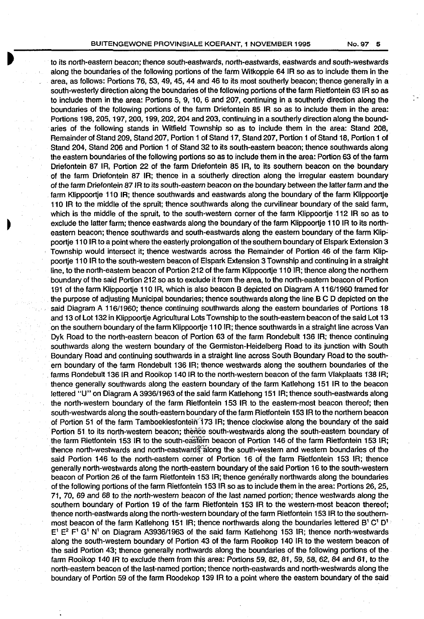to its north-eastern beacon; thence south-eastwards, north-eastwards, eastwards and south-westwards along the boundaries of the following portions of the farm Witkoppie 64 IR so as to include them in the area, as follows: Portions 76, 53, 49, 45, 44 and 46 to its most southerly beacon; thence generally in a south-westerly direction along the boundaries of the following portions of the farm Rietfontein 63 IR so as to include them in the area: Portions 5, 9, 10, 6 and 207, continuing in a southerly direction along the boundaries of the following portions of the farm Driefontein 85 IR so as to include them in the area: Portions 198, 205, 197, 200, 199, 202, 204 and 203, continuing in a southerly direction along the boundaries of the following stands in Witfield Township so as to include them in the area: Stand 208, Remainder of Stand 209, Stand 207, Portion 1 of Stand 17, Stand 207, Portion 1 of Stand 18, Portion 1 of Stand 204, Stand 206 and Portion 1 of Stand 32 to its south-eastern beacon; thence southwards along the eastern boundaries of the following portions so as to include them in the area: Portion 63 of the farm Driefontein 87 IR, Portion 22 of the farm Driefontein 85 IR, to its southern beacon on the boundary of the farm Driefontein 87 IR; thence in a southerly direction along the irregular eastern boundary of the farm Driefontein 87 IR to its south-eastern beacon on the boundary between the latter farm and the farm Klippoortje 110 IR; thence southwards and eastwards along the boundary of the farm Klippoortje 110 IR to the middle of the spruit; thence southwards along the curvilinear boundary of the said farm, which is the middle of the spruit, to the south-western corner of the farm Klippoortje 112 IR so as to exclude the latter farm; thence eastwards along the boundary of the farm Klippoortie 110 IR to its northeastern beacon; thence southwards and south-eastwards along the eastern boundary of the farm Klippoortje 110 IR to a point where the easterly prolongation of the southern boundary of Elspark Extension 3 Township would intersect it; thence westwards across the Remainder of Portion 46 of the farm Klippoortje 110 IR to the south-western beacon of Elspark Extension 3 Township and continuing in a straight line, to the north-eastern beacon of Portion 212 of the farm Klippoortje 110 IR; thence along the northern boundary of the said Portion 212 so as to exclude it from the area, to the north-eastern beacon of Portion 191 of the farm Klippoortje 110 IR, which is also beacon B depicted on Diagram A 116/1960 framed for the purpose of adjusting Municipal boundaries; thence southwards along the line B C D depicted on the said Diagram A 116/1960; thence continuing southwards along the eastern boundaries of Portions 18 and 13 of Lot 132 in Klippoortje Agricultural Lots Township to the south-eastern beacon of the said Lot 13 on the southern boundary of the farm Klippoortje 110 IR; thence southwards in a straight line across Van Dyk Road to the north-eastern beacon of Portion 63 of the farm Rondebult 136 IR; thence continuing southwards along the western boundary of the Germiston-Heidelberg Road to its junction with South Boundary Road and continuing southwards in a straight line across South Boundary Road to the southern boundary of the farm Rondebult 136 IR; thence westwards along the southern boundaries of the farms Rondebult 136 IR and Rooikop 140 IR to the north-western beacon of the farm Vlakplaats 138 IR; thence generally southwards along the eastern boundary of the farm Katlehong 151 IR to the beacon lettered "U" on Diagram A 3936/1963 of the said farm Katlehong 151 IR; thence south-eastwards along the north-western boundary of the farm Rietfontein 153 IR to the eastern-most beacon thereof; then south-westwards along the south-eastern boundary of the farm Rietfontein 153 IR to the northern beacon of Portion 51 of the farm Tamboekiesfontein 173 IR; thence clockwise along the boundary of the said Portion 51 to its north-western beacon; thence south-westwards along the south-eastern boundary of the farm Rietfontein 153 IR to the south-eastern beacon of Portion 146 of the farm Rietfontein 153 IR; thence north-westwards and north-eastward $\frac{1}{3}$  along the south-western and western boundaries of the said Portion 146 to the north-eastern corner of Portion 16 of the farm Rietfontein 153 IR; thence generally north-westwards along the north-eastern boundary of the said Portion 16 to the south-western beacon of Portion 26 of the farm Rietfontein 153 IR; thence generally northwards along the boundaries of the following portions of the farm Rietfontein 153 IR so as to include them in the area: Portions 26, 25, 71, 70, 69 and 68 to the north-western beacon of the last named portion; thence westwards along the southern boundary of Portion 19 of the farm Rietfontein 153 IR to the western-most beacon thereof; thence north-eastwards along the north-western boundary of the farm Rietfontein 153 IR to the southernmost beacon of the farm Katlehong 151 IR; thence northwards along the boundaries lettered B<sup>1</sup> C<sup>1</sup> D<sup>1</sup>  $E^1$   $E^2$  F<sup>1</sup> G<sup>1</sup> N<sup>1</sup> on Diagram A3936/1963 of the said farm Katlehong 153 IR; thence north-westwards along the south-western boundary of Portion 43 of the farm Rooikop 140 IR to the western beacon of the said Portion 43; thence generally northwards along the boundaries of the following portions of the farm Rooikop 140 IR to exclude them from this area: Portions 59, 82, 81, 59, 58, 62, 84 and 61, to the north-eastern beacon of the last-named portion; thence north-eastwards and north-westwards along the boundary of Portion 59 of the farm Roodekop 139 IR to a point where the eastern boundary of the said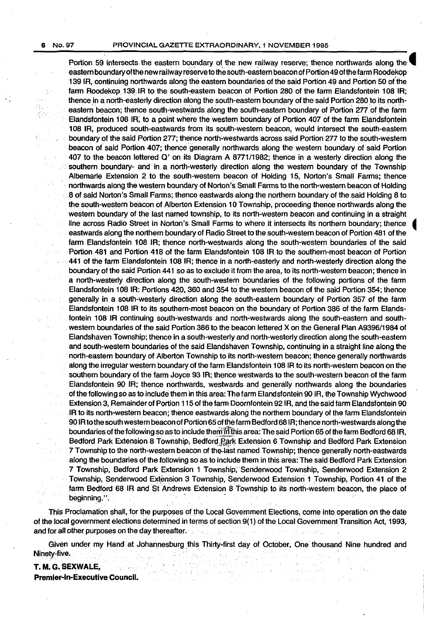绿云 άť

#### 6 NO. 97 PROVINCIAL GAZETTE EXTRAORDINARY, 1· NOVEMBER 1995

Portion 59 intersects the eastern boundary of the new railway reserve; thence northwards along the eastern boundary ofthe new railway reserve to the south-eastern beacon of Portion 49 ofthe farm Roodekop 139 IR, continuing northwards along the eastern boundaries of the said Portion 49 and Portion 50 ot'the farm Roodekop 139, IR to the south~eastern beacon of Portion 280 of the farm Elandsfontein 108 IR; thence in a north-easterly direction along the south-eastern boundary of the said Portion 280 to its northeastern beacon; thence south-westwards along the south-eastern boundary of Portion 277 of the farm Elandsfontein 108 IR, to a point where the western boundary of Portion 407 of the farm Elandsfontein 108 IR, produced south-eastwards from its south-western beacon, would intersect the south-eastern boundary of the said Portion 277; thence north~westwards across said Portion 277 to the south-western beacon of said Portion 407; thence generally northwards along the western boundary of said Portion 407 to the beacon lettered Q' on its Diagram A 8771/1982; thence in a westerly direction along the southern boundary- and in a north-westerly direction along the western boundary of the Township Albemarle Extension 2 to the south-western beacon of Holding 15, Norton's Small Farms; thence northwards along the western boundary of Norton's Small Farms to the north-western beacon of Holding · . 8 of said Norton's Small Farms; thence eastwards along the northern boundary of the said Holding 8 to the south-western beacon of Alberton Extension 10 Township, proceeding thence northwards along the western boundary of the last named township, to its north-western beacon and continuing in a straight line across Radio Street in Norton's Small Farms to where it intersects its northern boundary; thence eastwards along the northern boundary of Radio Street to the south-western beacon of Portion 481 of the farm Elandsfontein 108 IR; thence north-westwards along the south-western boundaries of the said Portion 481 and Portion 418 of the farm Elandsfontein 108 IR to the southern-most beacon of Portion 441 of the farm Elandsfontein 108 IR; thence in a north-easterly and north-westerly direction along the boundary of the said Portion 441 so as to exclude it from the area, to its north-western beacon; thence in a north-westerly direction along the south-western boundaries of the following portions of the farm Elandsfontein 108 IR: Portions 420, 360 and 354 to the western beacon of the said Portion 354; thence generally in a south-westerly direction along the south-eastern boundary of Portion 357 of the farm Elandsfontein 108 IR to its southern-most beacon on the boundary of Portion 386 of the farm Elandsfontein 108 IR continuing south-westwards and north-westwards along the south-eastern and south- . western boundaries of the said Portion 386 to the beacon lettered X on the General Plan A9396/1984 of Elandshaven Township; thence in a south-westerly and north-westerly direction along the south-eastern and south-western boundaries of the said Elandshaven Township, continuing in a straight line along the ·north-eastern boundary of Alberton Township to its north-western beacon; thence generally northwards along the irregular western boundary of the farm Elandsfontein 108 IR to its north-western beacon on the southern boundary of the farm Joyce 93 IR; thence westwards to the south-western beacon of the farm Elandsfontein 90 IR; thence northwards, westwards and generally northwards along the boundaries of the following so as to include them in this area: The farm Elandsfontein 90 IR, the Township Wychwood Extension 3, Remainder of Portion 115 of the farm Doornfontein 92 IR, and.the said farm Elandsfontein 90 IR to its north-western beacon; thence eastwards along the northern boundary of the farm Elandsfontein 90 IR to the south western beacon of Portion 65 of the farm Bedford 68 IR; thence north-westwards along the boundaries of the following so as to include them in this area: The said Portion 65 of the farm Bedford 68 IR, Bedford Park Extension 8 Township, Bedford Rark Extension 6 Township and Bedford Park Extension 7 Township to the north-western beacon of the-last named Township; thence generally north-eastwards along the boundaries of the following so as to include them in this area: The said Bedford Park Extension 7 Township, Bedford Park Extension 1 Township; Senderwood Township, Senderwood Extension 2 Township, Senderwood Extension 3 Township, Senderwood Extension 1 Township, Portion 41 of the farm Bedford 68 IR and St Andrews Extension 8 Township to its north-western beacon, the place of beginning.".

This Proclamation shall, for the purposes of the Local Government Elections, *come* into operation on the date of the local government elections determined in terrns of section 9(1) of the Local GovernmentTransition Act, 1993, and for all other purposes on the day thereafter.

Given under my Hand at Johannesburg this Thirty-first day of October, One thousand Nine hundred and Ninety-five.

**T. M.G. SEXWALE, Premier-In-Executive Council.**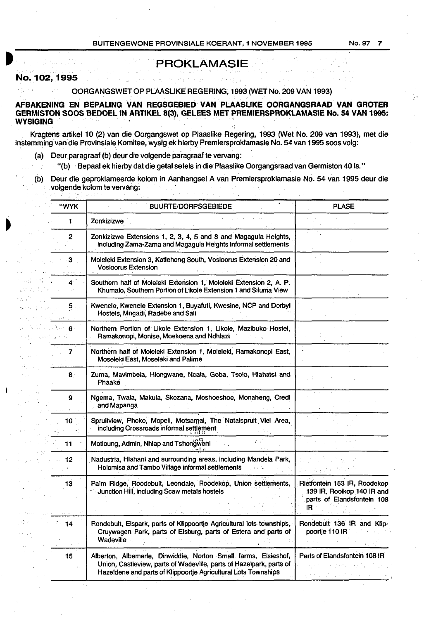## **PROKLAMASIE**

#### **No. 102, 1995**

OORGANGSWET OP PLAASLIKE REGERING, 1993 (WET No. 209 VAN 1993)

**AFBAKENING EN BEPALING VAN REGSGEBIED VAN PLAASLIKE OORGANGSRAAD VAN GROTER GERMISTON SOOS BEDOEL IN ARTIKEL** 8(3), **GELEES MET PREMIERSPROKLAMASIE No. 54 VAN 1995: WYSIGING** 

Kragtens artikel 10 (2) van die Oorgangswet op Plaaslike Regering, 1993 (Wet No. 209 van 1993), met die instemming van die Provinsiale Komitee, wysig ek hierby Premiersproklamasie No. 54 van 1995 soos volg:

- (a) Deur paragraaf (b) deur die volgende paragraaf te vervang:
- "(b) Bepaal ek hierby dat die getal setels in die Plaaslike Oorgangsraad van Germiston 40 is."
- (b) Deur die geproklameerde kolom in Aanhangsel A van Premiersproklamasie No. 54 van 1995 deur die volgende kolom te vervang:

| "WYK            | <b>BUURTE/DORPSGEBIEDE</b>                                                                                                                                                                              | <b>PLASE</b>                                                                                    |
|-----------------|---------------------------------------------------------------------------------------------------------------------------------------------------------------------------------------------------------|-------------------------------------------------------------------------------------------------|
| $\mathbf{1}$ .  | Zonkizizwe                                                                                                                                                                                              |                                                                                                 |
| $\mathbf{2}$    | Zonkizizwe Extensions 1, 2, 3, 4, 5 and 8 and Magagula Heights,<br>including Zama-Zama and Magagula Heights informal settlements                                                                        |                                                                                                 |
| 3 <sup>°</sup>  | Moleleki Extension 3, Katlehong South, Vosloorus Extension 20 and<br><b>Vosloorus Extension</b>                                                                                                         |                                                                                                 |
| 4 <sup>2</sup>  | Southern half of Moleleki Extension 1, Moleleki Extension 2, A. P.<br>Khumalo, Southern Portion of Likole Extension 1 and Siluma View                                                                   |                                                                                                 |
| 5.              | Kwenele, Kwenele Extension 1, Buyafuti, Kwesine, NCP and Dorbyl<br>Hostels, Mngadi, Radebe and Sali                                                                                                     |                                                                                                 |
| 6               | Northern Portion of Likole Extension 1, Likole, Mazibuko Hostel,<br>Ramakonopi, Monise, Moekoena and Ndhlazi                                                                                            |                                                                                                 |
| 7               | Northern half of Moleleki Extension 1, Moleleki, Ramakonopi East,<br>Moseleki East, Moseleki and Palime                                                                                                 |                                                                                                 |
| 8.              | Zuma, Mavimbela, Hlongwane, Ncala, Goba, Tsolo, Hlahatsi and<br>Phaake                                                                                                                                  |                                                                                                 |
| 9               | Ngema, Twala, Makula, Skozana, Moshoeshoe, Monaheng, Credi<br>and Mapanga                                                                                                                               |                                                                                                 |
| 10              | Spruitview, Phoko, Mopeli, Motsamai, The Natalspruit Vlei Area,<br>including Crossroads informal settlement                                                                                             |                                                                                                 |
| 11              | Motloung, Admin, Nhlap and Tshongweni                                                                                                                                                                   |                                                                                                 |
| 12 <sub>2</sub> | Nadustria, Hlahani and surrounding areas, including Mandela Park,<br>Holomisa and Tambo Village informal settlements                                                                                    |                                                                                                 |
| 13              | Palm Ridge, Roodebult, Leondale, Roodekop, Union settlements,<br><b>Junction Hill, including Scaw metals hostels</b>                                                                                    | Rietfontein 153 IR, Roodekop<br>139 IR, Rooikop 140 IR and<br>parts of Elandsfontein 108<br>IR. |
| 14              | Rondebult, Elspark, parts of Klippoortje Agricultural lots townships,<br>Cruywagen Park, parts of Elsburg, parts of Estera and parts of<br>Wadeville                                                    | Rondebult 136 IR and Klip-<br>poortje 110 IR                                                    |
| 15              | Alberton, Albemarle, Dinwiddie, Norton Small farms, Elsieshof,<br>Union, Castleview, parts of Wadeville, parts of Hazelpark, parts of<br>Hazeldene and parts of Klippoortje Agricultural Lots Townships | Parts of Elandsfontein 108 IR                                                                   |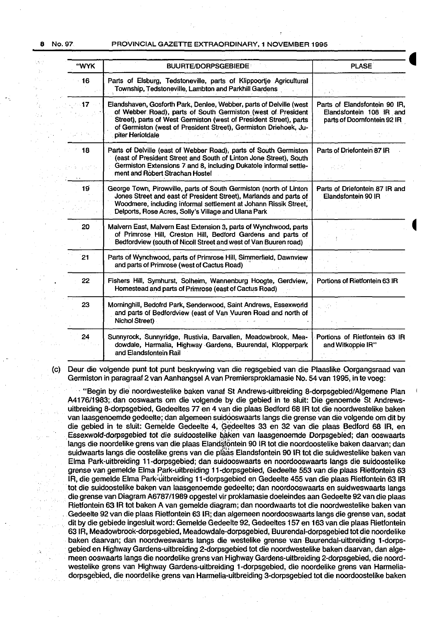Ÿ.

b.

#### 8 No.97 PROVINCIAL GAZETTE EXTRAORDINARY, 1 NOVEMBER 1995

| "WYK       | <b>BUURTE/DORPSGEBIEDE</b>                                                                                                                                                                                                                                                                        | <b>PLASE</b>                                                                             |  |
|------------|---------------------------------------------------------------------------------------------------------------------------------------------------------------------------------------------------------------------------------------------------------------------------------------------------|------------------------------------------------------------------------------------------|--|
| $\cdot$ 16 | Parts of Elsburg, Tedstoneville, parts of Klippoortje Agricultural<br>Township, Tedstoneville, Lambton and Parkhill Gardens                                                                                                                                                                       |                                                                                          |  |
| $-17 -$    | Elandshaven, Gosforth Park, Denlee, Webber, parts of Delville (west<br>of Webber Road), parts of South Germiston (west of President<br>Street), parts of West Germiston (west of President Street), parts<br>of Germiston (west of President Street), Germiston Driehoek, Ju-<br>piter Heriotdale | Parts of Elandsfontein 90 IR,<br>Elandsfontein 108 IR and<br>parts of Doornfontein 92 IR |  |
| 18         | Parts of Delville (east of Webber Road), parts of South Germiston<br>(east of President Street and South of Linton Jone Street), South<br>Germiston Extensions 7 and 8, including Dukatole informal settle-<br>ment and Robert Strachan Hostel                                                    | Parts of Driefontein 87 IR                                                               |  |
| 19         | George Town, Pirowville, parts of South Germiston (north of Linton<br>Jones Street and east of President Street), Marlands and parts of<br>Woodmere, including informal settlement at Johann Rissik Street,<br>Delports, Rose Acres, Solly's Village and Ulana Park                               | Parts of Driefontein 87 IR and<br>Elandsfontein 90 IR                                    |  |
| 20         | Malvern East, Malvern East Extension 3, parts of Wynchwood, parts<br>of Primrose Hill, Creston Hill, Bedford Gardens and parts of<br>Bedtordview (south of Nicoll Street and west of Van Buuren road)                                                                                             |                                                                                          |  |
| 21         | Parts of Wynchwood, parts of Primrose Hill, Simmerfield, Dawnview<br>and parts of Primrose (west of Cactus Road)                                                                                                                                                                                  |                                                                                          |  |
| 22         | Fishers Hill, Symhurst, Solheim, Wannenburg Hoogte, Gerdview,<br>Homestead and parts of Primrose (east of Cactus Road)                                                                                                                                                                            | Portions of Rietfontein 63 IR                                                            |  |
| 23         | Morninghill, Bedofrd Park, Senderwood, Saint Andrews, Essexworld<br>and parts of Bedfordview (east of Van Vuuren Road and north of<br>Nichol Street)                                                                                                                                              |                                                                                          |  |
| 24         | Sunnyrock, Sunnyridge, Rustivia, Barvallen, Meadowbrook, Mea-<br>dowdale, Harmalia, Highway Gardens, Buurendal, Klopperpark<br>and Elandsfontein Rail                                                                                                                                             | Portions of Rietfontein 63 IR<br>and Witkoppie IR"                                       |  |

(c) Deur die volgende punt tot punt beskrywing van die regsgebied van die Plaaslike Oorgangsraad van Gerrniston in paragraaf 2 van Aanhangsel A van Premiersproklamasie No. 54 van 1995, in te voeg:

· "Begin by die noordwestelike baken vanaf St Andrews-uitbreiding 8-dorpsgebied/Aigemene Plan A4176/1983;.dan ooswaarts om die volgende by die gebied in te sluit: Die genoemde St Andrewsuitbreiding 8-dorpsgebied, Gedeeltes 77 en 4 van die plaas Bedford 68 IR tot die noordwestelike baken van laasgenoemde gedeelte; dan algemeen suidooswaarts langs die grense van die volgende om dit by die gebied in te sluit: Gemelde Gedeelte 4, Gedeeltes 33 en 32 van die plaas Bedford 68 IR, en Essexwold-dorpsgebied tot die suidoostelike baken van laasgenoemde Dorpsgebied; dan ooswaarts langs die noordelike grens van die plaas Elandstontein 90 IR tot die noordoostelike baken daarvan; dan suidwaarts langs die oostelike grens van die plaas Elandsfontein 90 IR tot die suidwestelike baken van Elma Park-uitbreiding 11-dorpsgebied; dan suidooswaarts en noordooswaarts langs die suidoostelike grense van gemelde Elma Park-uitbreiding 11-dorpsgebied, Gedeelte 553 van die plaas Rietfontein 63 IR, die gemelde Elma Park~uitbreiding 11-dorpsgebied en Gedeelte 455 van die plaas Rietfontein 63 IR tot die suidoostelike baken van laasgenoemde gedeelte; dan noordooswaarts en suidweswaarts langs die grense van Diagram A6787/1989 opgestel vir proklamasie doeleindes aan Gedeelte 92 van die plaas Rietfontein 631R tot baken A van gemelde diagram; dan noordwaarts tot die noordwestelike baken van Gedeelte 92 van die plaas Rietfontein 63 IR; dan algemeen noordooswaarts langs die grense van, sodat dit by die gebiede ingesluit word: Gemelde Gedeelte 92, Gedeeltes 157 en 163 van die plaas Rietfontein 63 IR, Meadowbrook-dorpsgebied, Meadowdale-dorpsgebied, Buurendal-dorpsgebied tot die noordelike baken daarvan; dan noordweswaarts langs die westelike grense van Buurendal-uitbreiding 1-dorpsgebied en Highway Gardens-uitbreiding 2-dorpsgebied tot die noordwestelike baken daarvan, dan algemeen ooswaarts langs die noordelike grens van Highway Gardens-uitbreiding 2-dorpsgebied, die noordwestelike grens van Highway Gardens-uitbreiding 1-dorpsgebied, die noordelike grens van Harrneliadorpsgebied, die noordelike grens van Harmelia-uitbreiding 3-dorpsgebied tot die noordoostelike baken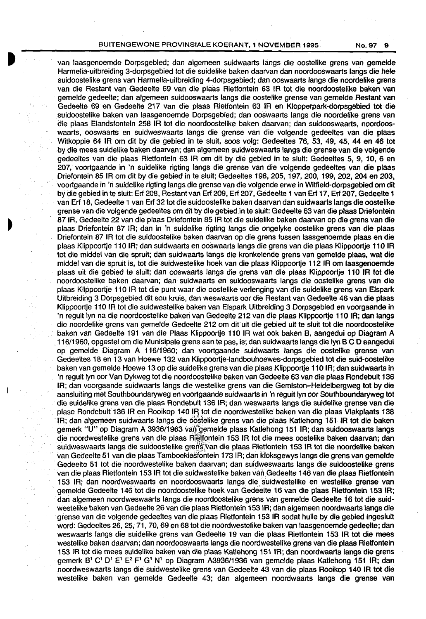#### BUITENGEWONE PROVINSIALE KOERANT, 1 NOVEMBER 1995 No. 97 9

van taasgenoemde Dorpsgebied; dan algemeen suidwaarts langs die oostelike grens van gemelde Harmelia-uitbreiding 3-dorpsgebied tot die suidelike baken daarvan dan noordooswaarts tangs die hele suidoostetike grens van Harmelia-uitbreiding 4-dorpsgebied; dan ooswaarts langs die noordelike grens van die Restant van Gedeelte 69 van die plaas Rietfontein 63 IR tot die noordoostelike baken van gemelde gedeelte; dan algemeen suidooswaarts langs die oostelike grense van gemelde Aestant van Gedeette 69 en Gedeette 217 van die ptaas Aietfontein 63 tR en Klopperpark-dorpsgebied tot die suidoostelike baken van laasgenoemde Dorpsgebied; dan ooswaarts langs die noordelike grens van die plaas Elandsfontein 258 IR tot die noordoostelike baken daarvan; dan suidooswaarts, noordooswaarts, ooswaarts en suidweswaarts tangs die grense van die volgende gedeeltes van die plaas Witkoppie 64 IR om dit by die gebied in te sluit, soos volg: Gedeeltes 76, 53, 49, 45, 44 en 46 tot by die mees suidelike baken daarvan; dan algemeen suidweswaarts langs die grense van die volgende gedeeltes van die plaas Rietfontein 63 IR om dit by die gebied in te sluit: Gedeeltes 5, 9, 10, 6 en 207, voortgaande in 'n suidelike rigting langs die grense van die volgende gedeeltes van die plaas Driefontein 85 IR om dit by die gebied in te sluit; Gedeeltes 198, 205, 197, 200, 199, 202, 204 en 203, voortgaande in 'n suidelike rigting langs die grense van die volgende erwe in Witfield-dorpsgebied om dit · by die gebied in te sluit: Erf 208, Restant van Erf 209, Erf 207, Gedeelte 1 van Erf 17, Erf 207, Gedeelte 1 van Erf 18, Gedeelte 1 van Erf 32 tot die suidoostelike baken daarvan dan suidwaarts langs die oostelike grense van die volgende gedeeltes om dit by die gebied .in te sluit: Gedeelte 63 van die plaas Driefontein 87 IR, Gedeelte 22 van die plaas Driefontein 85 lA tot die suidelike baken daarvan op die grens van die plaas Driefontein 87 IR; dan in 'n suidelike rigting langs die ongelyke oostelike grens van die plaas Driefontein 87 IR tot die suidoostelike baken daarvan op die grens tussen laasgenoemde plaas en die plaas Klippoortje 110 IR; dan suidwaarts en ooswaarts langs die grens van die plaas Klippoortje 110 IR tot die middel van die spruit; dan suidwaarts langs die kronkelende grens van gemelde plaas, wat die middel van die spruit is, tot die suidwestelike hoek van die plaas Klippoortje 112 IR om laasgenoemde plaas uit die gebied te sluit; dan ooswaarts langs die grens van die plaas Klippoortje 110 lA tot die noordoostelike baken daarvan; dan suidwaarts en suidooswaarts langs die oostelike grens van die plaas Klippoortje 110 IR tot die punt waar die oostelike verlenging van die suidelike grens van Elspark Uitbreiding 3 Dorpsgebied dit sou kruis, dan weswaarts oor die Restant van Gedeelte 46 van die plaas Klippoortje 110 IR tot die suidwestelike baken van Elspark Uitbreiding 3 Dorpsgebied en voorgaande in 'n reguit lyn na die noordoostelike bakeri van Gedeelte 212 van die plaas Klippoortje 110 lA; dan langs die noordelike grens van gemelde Gedeelte 212 om dit uit die gebied uit te sluit tot die noordoostelike baken van Gedeelte 191 van die Plaas Klippoortje 110 IR wat ook baken 8, aangedui op Diagram A 116/1960, opgestel om die Munisipale grens aan te pas, is; dan suidwaarts langs die lyn 8 C D aangedui op gemelde Diagram A 116/1960; dan voortgaande suidwaarts langs die oostelike grense van Gedeeltes 18 en 13 van Hoewe 132 van Klippoortje-landbouhoewes-dorpsgebied tot die suid-oostelike baken van gemelde Hoewe 13 op die suidelike grens van die plaas Klippoortje 110 IR; dan suidwaarts in 'n reguit lyn oor Van Dykweg tot die noordoostelike baken van Gedeelte 63 van die plaas Rondebult 136 IR; dan voorgaande suidwaarts langs die westelike grens van die Gemiston-Heidelbergweg tot by die aansluiting met Southboundaryweg en voortgaande suidwaarts in 'n reguit lyn oor Southboundaryweg tot die suidelike grens van die plaas Rondebult 136 IR; dan weswaarts tangs die suidelike grense van die ptase Rondebult 136 IR en Rooikop 140 IR tot die noordwestelike baken van die plaas Vlakplaats 138 IR; dan algemeen suidwaarts langs die oostelike grens van die plaas Katlehong 151 IR tot die baken gemerk "U" op Diagram A 3936/1963 van gemelde plaas Katlehong 151 IR; dan suidooswaarts langs die noordwestelike grens van die plaas Rietfontein 153 IR tot die mees oostelike baken daarvan; dan suidweswaarts langs die suidoostelike grens van die plaas Rietfontein 153 IR tot die noordelike baken van Gedeelte 51 van die ptaas Tamboekiesfontein 1731A; dan kloksgewys tangs die grens van gemelde Gedeelte 51 tot die noordwestelike baken daarvan; dan suidweswaarts langs die suidoostelike grens van die plaas Rietfontein 153 IR tot die suidwestelike baken van Gedeelte 146 van die plaas Rietfontein 153 IR; dan noordweswaarts en noordooswaarts tangs die suidwestelike en westelike grense van gemetde Gedeette 146 tot die noordoostelike hoek van Gedeelte 16 van die plaas Rietfontein 153 lA; dari atgemeen noordweswaarts tangs die noordoostelike grens van gemelde Gedeelte 16 tot die suidwestelike baken van Gedeette 26 van die plaas Aietfontein 153 lA; dan algemeen noordwaarts langs die grense van die volgende gedeeltes van die plaas Rietfontein 153 IR sodat hulle by die gebied ingesluit word: Gedeettes 26, 25, 71, 70, 69 en 68 tot die noordwestelike baken van laasgenoemde gedeelte; dan weswaarts langs die suidelike grens van Gedeelte 19 van die plaas Rietfontein 153 IR tot die mees westelike baken daarvan; dan noordooswaarts langs die noordwestelike grens van die plaas Rietfontein 153 tR tot die mees suidelike baken van die plaas Kattehong 151 IR; dan noordwaarts tangs die grens gemerk  $B^1$  C<sup>1</sup> D<sup>1</sup> E<sup>2</sup> E<sup>2</sup> F<sup>1</sup> G<sup>1</sup> N<sup>1</sup> op Diagram A3936/1936 van gemelde plaas Katlehong 151 IR; dan noordweswaarts langs die suidwestelike grens van Gedeelte 43 van die plaas Rooikop 140 IR tot die westelike baken van gemelde Gedeelte 43; dan atgemeen noordwaarts langs die grense van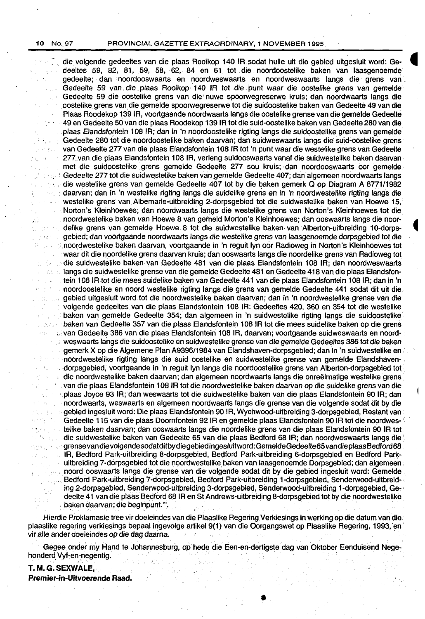$\mathbf{L}$ 

 $\mathcal{L}^{(1)}\left(\mathcal{C}_{\mathcal{A}}\right)$  .

 $\gamma \rightarrow \gamma \gamma_0$ 

tions y

 $\sim$   $\sim$ 

بالرواقيان  $\hat{U}_{\rm 1M}^{(0)}$  .

10 No. 97 PROVINCIAL GAZETTE EXTRAORDINARY, 1 NOVEMBER 1995

~: die volgende gedeeltes van die plaas Rooikop 140 IR.sodat hulle uit die gebied uitgesluit word: Ge- **41**  deeltes 59, 82, 81, 59, 58, 62, 84 en 61 tot die noordoostelike baken van laasgenoemde gedeelte; dan noordooswaarts en noordweswaarts en noordweswaarts fangs die grens van . Gedeelte 59 *van* die plaas Rooikop 140 IR tot die punt waar die oostelike grens *van* gemelde Gedeelte 59 die oostelike grens van die nuwe spoorwegreserwe kruis; dan noordwaarts langs die .oostelike grens van die gemelde spoorwegreserwe tot die suidoostelike baken van Gedeelte 49 van die Plaas Roodekop J39 IR, voortgaande noordwaarts fangs die oostelike grense *van* die gemelde Gedeelte 49 en Gedeelte 50 *van* die plaas Roodekop 139 IR tot die suid-oostelike baken van Gedeelte 280 van die .plaas Elandsfontein 108 IR; dan in 'n noordoostelike rigting fangs die suidoostelike grens *van* gemelde Gedeelte 280 tot die noordoostelike baken daarvan; dan suidweswaarts fangs die suid-oostelike grens van Gedeelte 277 van die plaas Elandsfontein 108 IR tot 'n punt waar die westelike grens *van* Gedeelte 277.van die plaas Elandsfontein 108 IR, verleng suidooswaarts vanaf die suidwestelikebaken daarvan . met die suidoostelike grens gemelde Gedeelte 277 sou kruis; dan noordooswaarts oor gemelde Gedeelte 277 tot die suidwestelike baken van gemelde Gedeelte 407; dan algemeen noordwaarts langs ·die westelike grens *van* gemelde Gedeelte 407 tot by die baken gemerk Q op Diagram A8771/1982 daarvan; dan in 'n westelike rigting langs die suidelike grens en in 'n noordwestelike rigting langs die westelike grens van Albemarle-uitbreiding 2-dorpsgebied tot die suidwestelike baken van Hoewe 15, Norton's Kleinhoewes; dan noordwaarts fangs die westelike grens van Norton's Kleinhoewes tot die noordwestelike baken *van* Hoewe 8 van gemeld Morton's Kleinhoewes; dan ooswaarts fangs die noor- • delike grens van gemelde Hoewe 8 tot die suidwestelike baken van Alberton-uitbreiding 10-dorpsgebied; dan voortgaande noordwaarts fangs die westelike grens van laasgenoemde dorpsgebied tot die .noordwestelike baken daarvan, voortgaande in 'n reguit lyn oor Radioweg in Norton's Kleinhoewes tot waar dit die noordelike grens daarvan kruis; dan ooswaarts fangs die noordelike grens van Radioweg tot die suidwestelike baken van .Gedeelte 481 van.die plaas Elandsfontein 108 IR; dan noordweswaarts langs die suidwestelike grense van die gemelde Gedeelte 481 en Gedeelte 418 van die plaas Elandsfon-163 L. tein 108 IR tot die mees suidelike baken van Gedeelte 441 van die plaas Elandsfontein 108 IR; dan in 'n noordoostelike en noord westelike rigting fangs die grens van gemelde Gedeelte 441 sodat dit uit die gebied uitgesluit word tot die noordwestelike baken daarvan; dan in 'n noordwestelike grense van die volgende gedeeltes van die plaas Elandsfontein 108 IR: Gedeeltes 420, 360 en 354 tot die westelike baken van gemelde Gedeelte 354; dan algemeen in 'n suidwestelike rigting fangs die suidoostelike' baken van Gedeelte 357 van die plaas Elandsfontein 108 IR tot die mees suidelike baken op die grens *van* Gedeelte 386 van die plaas Elandsfontein 108 IR, daarvan; voortgaande suidweswaarts en noord- · . ' weswaarts fangs die suidoostelike en suidwestelike grense van die gemelde Gedeeltes 386 tot die baken gemetk X op die Algemene Plan A9396/1984 *van* Elandshaven-dorpsgebied; dan in 'n suidwestelike en . . noordwestelike rigting fangs die suid oostelike en suidwestelike grense van gemelde Elandshaven- . . dorpsgebied, voortgaande in 'n reguit lyn fangs die noordoostelike grens *van* Alberton-dorpsgebied tot die noordwestelike baken daarvan; dan algemeen noordwaarts langs die onreëlmatige westelike grens  $\overline{\Omega}$  $\sim$ van die plaas Elandsfontein 108 IR tot die noordwestelike baken daarvan op die suidelike grens van die · .plaas Joyce 93 IR; dan weswaarts tot die suidwestelike baken van die plaas Elandsfontein 90 IR; dan noordwaarts, weswaarts en algemeen noordwaarts fangs die grense *van* die volgende sodat dit by die gebied ingesluit word: Die plaas Elandsfontein 90 IR, Wychwood-uitbreiding 3-dorpsgebied, Restant van Gedeelte 115 van die plaas Doornfontein 92 IR en gemelde plaas Elandsfontein 90 lA tot die noordwestelike baken daarvan; dan ooswaarts langs die noordelike grens van die plaas Elandsfontein 90 IR tot die suidwestelike baken van Gedeelte 65 van die plaas Bedford 68 IR; dan noordweswaarts fangs die· *grensevan* dievolgendesodatditbydiegebied ingesluitword: GemeldeGedeelte65 vandieplaas Bedford68 .IR, Bedford Park-uitbreiding 8-dorpsgebied, Bedford Park-uitbreiding 6-dorpsgebied en Bedford Parkuitbreiding 7-dorpsgebied tot die noordwestelike. baken *van* laasgenoemde Dorpsgebied; dan algemeen noord ooswaarts fangs die grense van die volgende sodat dit by die gebied ingesluit word: Gemelde  $\mathcal{L}^{(1)}_{\text{max}}$ Bedford Park-uitbreiding 7-dorpsgebied, Bedford Park-uitbreiding 1-dorpsgebied, Senderwood-uitbreid-. ing 2-dorpsgebied, Senderwood-uitbreiding 3-dorpsgebied, Semderwood-uitbreiding 1-dorpsgebied, Ge-, deelte 41 van die plaas Bedford 68 IR en St Andrews-uitbreiding 8-dorpsgebied tot by die noordwestelike . baken daarvan; die beginpunt. ". ·

Hierdie Proklamasie tree vir doeleindes van die Plaaslike Regering Verkiesings in werking op die datum van die plaaslike regering verkiesings bepaal ingevolge artikel 9(1) van die Oorgangswet op Plaaslike Regering, 1993, en vir aile ander doeleindes op die dag daarna. ·

Gegee onder my Hand te Johannesburg, op hede die Een-en-dertigste dag van Oktober Eenduisend Negehonderd Vyf-en-negentig.

•

## **T. M.G. SEXWALE,** .

**Premier-in-Uitvoerende Raad.**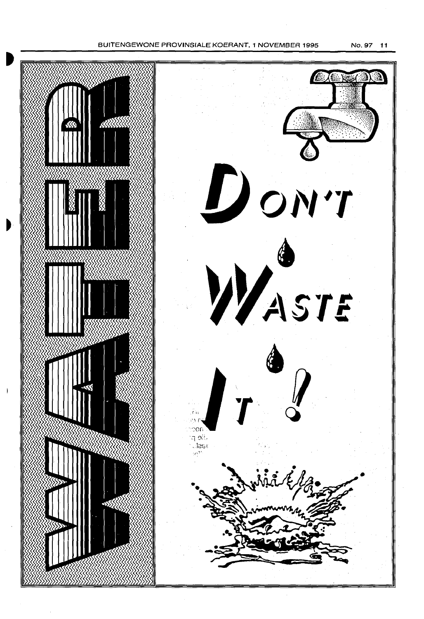BUJTENGEWONE PROVINSIALE KOERANT, 1 NOVEMBER 1995

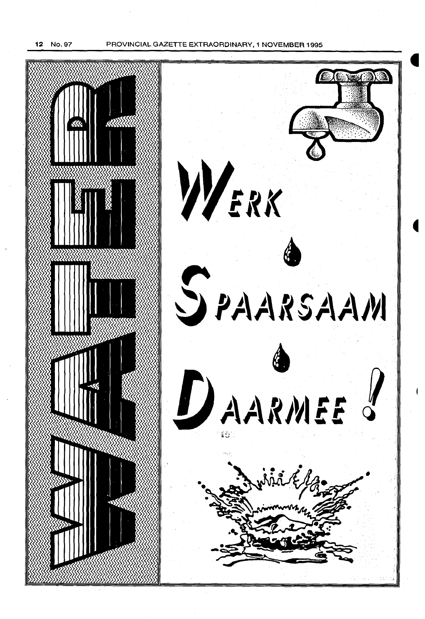12 No. 97 PROVINCIAL GAZETTE EXTRAORDINARY, 1 NOVEMBER 1995

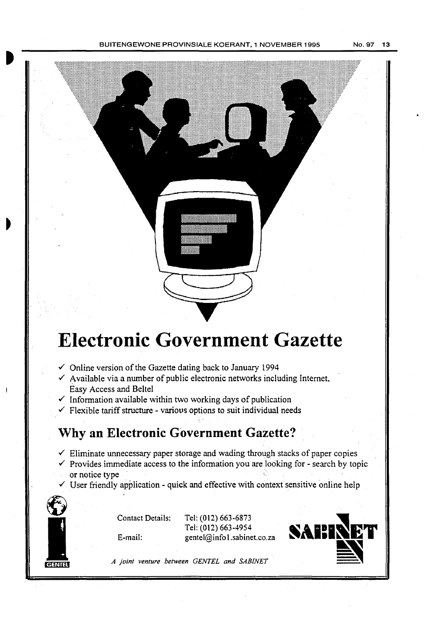

# **Electronic Government Gazette**

- $\checkmark$  Online version of the Gazette dating back to January 1994
- $\checkmark$  Available via a number of public electronic networks including Internet, Easy Access and Beitel
- $\checkmark$  Information available within two working days of publication
- $\checkmark$  Flexible tariff structure various options to suit individual needs

# **Why an Electronic Government Gazette?**

- $\checkmark$  Eliminate unnecessary paper storage and wading through stacks of paper copies
- $\checkmark$  Provides immediate access to the information you are looking for search by topic or notice type
- $\checkmark$  User friendly application quick and effective with context sensitive online help



Contact Details: Tel: (012) 663-6873 E-mail: gentel@info 1.sabinet.co.za

Tel: (012) 663-4954

SAIIR

*A joint venture between GENTEL and SABINET*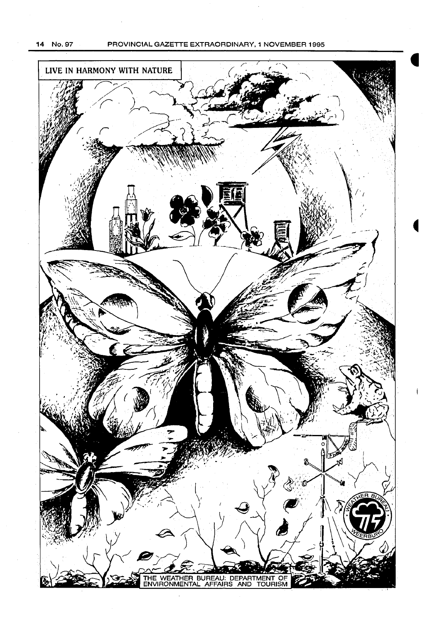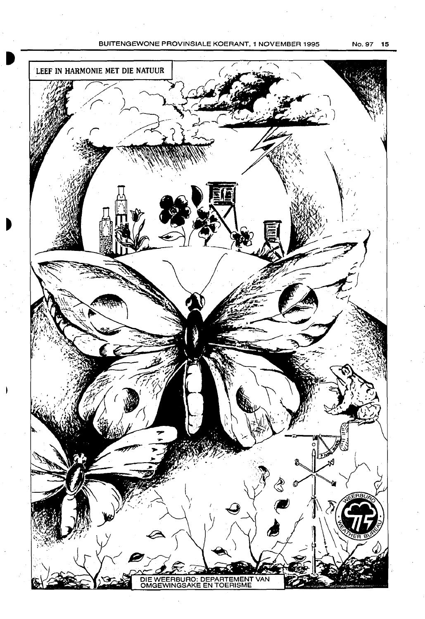#### BUITENGEWONE PROVINSIALE KOERANT, 1 NOVEMBER 1995 No. 97 15